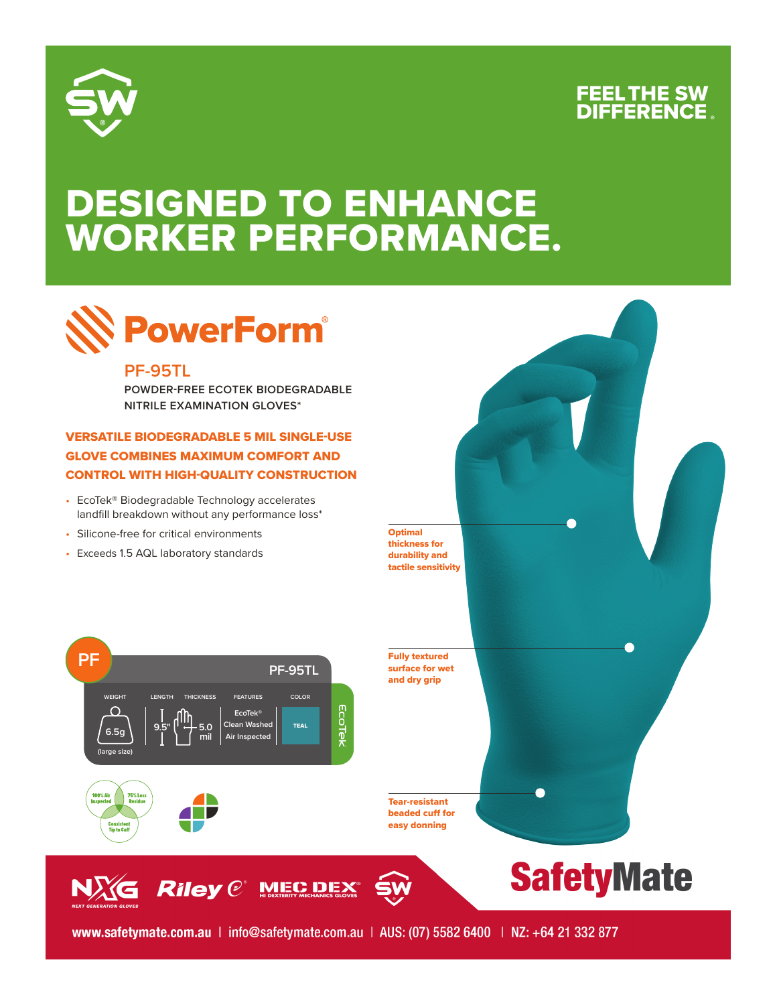

### FEEL THE SW **DIFFERENCE**

## DESIGNED TO ENHANCE WORKER PERFORMANCE.



#### **PF-95TL**

**POWDER-FREE ECOTEK BIODEGRADABLE NITRILE EXAMINATION GLOVES\***

### VERSATILE BIODEGRADABLE 5 MIL SINGLE-USE GLOVE COMBINES MAXIMUM COMFORT AND CONTROL WITH HIGH-QUALITY CONSTRUCTION

- EcoTek® Biodegradable Technology accelerates landfill breakdown without any performance loss\*
- Silicone-free for critical environments
- Exceeds 1.5 AQL laboratory standards





Riley @ MIEC DEX



www.safetymate.com.au | info@safetymate.com.au | AUS: (07) 5582 6400 | NZ: +64 21 332 877